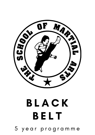## **BLACK** B E L T 5 y e a r p r o g r a m m e

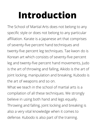## **Introduction**

The School of Martial Arts does not belong to any specific style or does not belong to any particular affiliation. Karate is a Japanese art that comprises of seventy-five percent hand techniques and twenty-five percent leg techniques. Tae kwon do is Korean art which consists of seventy-five percent leg and twenty-five percent hand movements, Judo is the art of throwing and falling, Aikido is the art of joint locking, manipulation and breaking, Kubodo is the art of weapons and so on.

What we teach in the school of martial arts is a compilation of all these techniques. We strongly believe in using both hand and legs equally. Throwing and falling, joint locking and breaking is also a very vital knowledge when it comes to defense. Kubodo is also part of the training.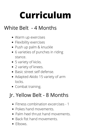# **Curriculum**

## White Belt - 4 Months

- Warm up exercises
- Flexibility exercises
- Push up palm & knuckle
- 6 varieties of punches in riding stance.
- 5 variety of kicks.
- 2 variety of knees.
- Basic street self defense.
- Adapted Akido 15 variety of arm locks.
- Combat training.

## Jr. Yellow Belt - 8 Months

- Fitness combination excercises 1
- Pokes hand movements.
- Palm heel thrust hand movements.
- Back fist hand movements.
- Elbows.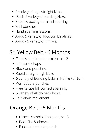- 9 variety of high straight kicks.
- Basic 6 variety of bending kicks.
- Shadow boxing for hand sparring
- Wall punches.
- Hand sparring lessons.
- Akido 5 variety of lock combinations.
- Akido 5 variety of throws.

## Sr. Yellow Belt - 6 Months

- Fitness combination excercise 2
- knife and chops.
- Block and punches.
- Rapid straight high kicks
- 6 variety of Bending kicks in Half & Full turn.
- Wall double punches.
- Free Karate full contact sparring.
- 5 variety of Akido neck locks.
- Tai Sabaki movement

#### Orange Belt - 6 Months

- Fitness combination exercise -3
- Back Fist & elbows
- Block and double punch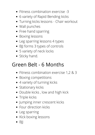- Fitness combination exercise -3
- 6 variety of Rapid Bending kicks
- Turning kicks lessons Chair workout
- Wall punches
- Free hand sparring
- Boxing lessons
- Leg sparring lessons 4 types
- BJJ forms 3 types of controls
- 5 variety of neck locks
- Sticky hand.

#### Green Belt - 6 Months

- Fitness combination exercise 1,2 & 3
- Boxing competitions
- 4 variety of turning kicks
- Stationary kicks
- Double kicks, low and high kick
- Triple kicks
- Jumping inner crescent kicks
- Four direction kicks
- Leg sparring
- Kick boxing lessons
- $\bullet$  B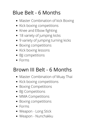## Blue Belt - 6 Months

- Master Combination of kick Boxing
- Kick boxing competitions
- Knee and Elbow fighting
- 18 variety of jumping kicks
- 9 variety of jumping turning kicks
- Boxing competitions
- Kick boxing lessons
- BJJ competitions
- Forms

#### Brown III Belt - 6 Months

- Master Combination of Muay Thai
- Kick boxing competitions
- Boxing Competitions
- BJJ Competitions
- MMA Competitions
- Boxing competitions
- Forms
- Weapon Long Stick
- Weapon Nunchakku